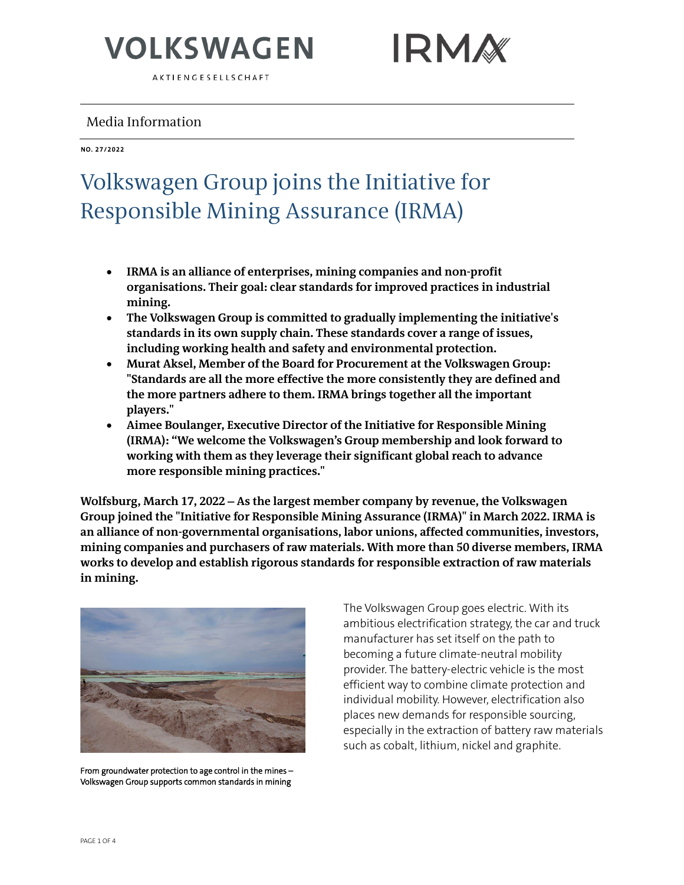AKTIENGESELLSCHAFT

#### Media Information

#### **NO. 27/2022**

### Volkswagen Group joins the Initiative for Responsible Mining Assurance (IRMA)

- **IRMA is an alliance of enterprises, mining companies and non-profit organisations. Their goal: clear standards for improved practices in industrial mining.**
- **The Volkswagen Group is committed to gradually implementing the initiative's standards in its own supply chain. These standards cover a range of issues, including working health and safety and environmental protection.**
- **Murat Aksel, Member of the Board for Procurement at the Volkswagen Group: "Standards are all the more effective the more consistently they are defined and the more partners adhere to them. IRMA brings together all the important players."**
- **Aimee Boulanger, Executive Director of the Initiative for Responsible Mining (IRMA): "We welcome the Volkswagen's Group membership and look forward to working with them as they leverage their significant global reach to advance more responsible mining practices."**

**Wolfsburg, March 17, 2022** – **As the largest member company by revenue, the Volkswagen Group joined the "Initiative for Responsible Mining Assurance (IRMA)" in March 2022. IRMA is an alliance of non-governmental organisations, labor unions, affected communities, investors, mining companies and purchasers of raw materials. With more than 50 diverse members, IRMA works to develop and establish rigorous standards for responsible extraction of raw materials in mining.** 



From groundwater protection to age control in the mines – Volkswagen Group supports common standards in mining

The Volkswagen Group goes electric. With its ambitious electrification strategy, the car and truck manufacturer has set itself on the path to becoming a future climate-neutral mobility provider. The battery-electric vehicle is the most efficient way to combine climate protection and individual mobility. However, electrification also places new demands for responsible sourcing, especially in the extraction of battery raw materials such as cobalt, lithium, nickel and graphite.

**IRMA**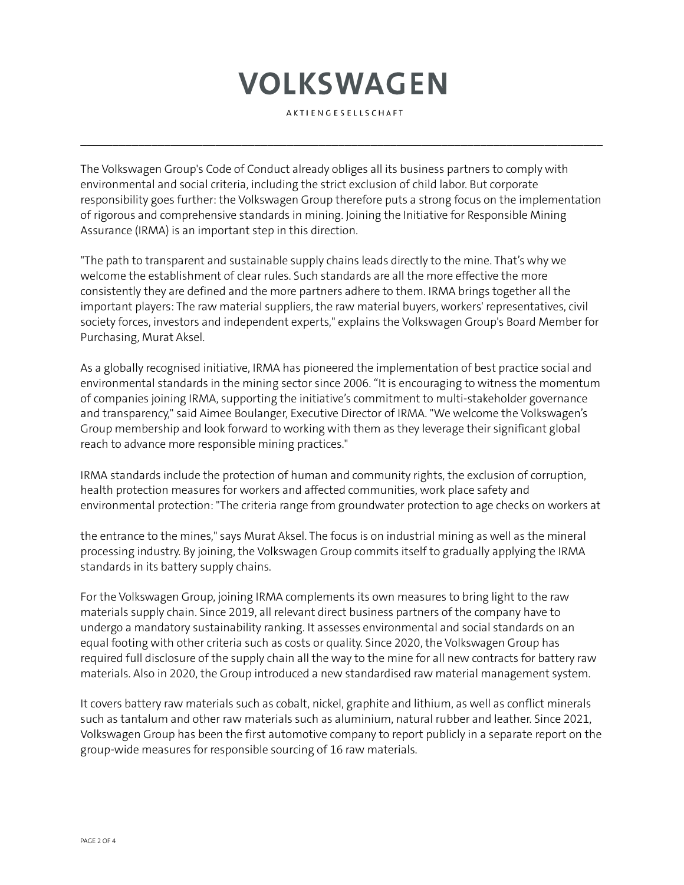AKTIENGESELLSCHAFT

 $\mathcal{L}_\mathcal{L} = \{ \mathcal{L}_\mathcal{L} = \{ \mathcal{L}_\mathcal{L} = \{ \mathcal{L}_\mathcal{L} = \{ \mathcal{L}_\mathcal{L} = \{ \mathcal{L}_\mathcal{L} = \{ \mathcal{L}_\mathcal{L} = \{ \mathcal{L}_\mathcal{L} = \{ \mathcal{L}_\mathcal{L} = \{ \mathcal{L}_\mathcal{L} = \{ \mathcal{L}_\mathcal{L} = \{ \mathcal{L}_\mathcal{L} = \{ \mathcal{L}_\mathcal{L} = \{ \mathcal{L}_\mathcal{L} = \{ \mathcal{L}_\mathcal{$ 

The Volkswagen Group's Code of Conduct already obliges all its business partners to comply with environmental and social criteria, including the strict exclusion of child labor. But corporate responsibility goes further: the Volkswagen Group therefore puts a strong focus on the implementation of rigorous and comprehensive standards in mining. Joining the Initiative for Responsible Mining Assurance (IRMA) is an important step in this direction.

"The path to transparent and sustainable supply chains leads directly to the mine. That's why we welcome the establishment of clear rules. Such standards are all the more effective the more consistently they are defined and the more partners adhere to them. IRMA brings together all the important players: The raw material suppliers, the raw material buyers, workers' representatives, civil society forces, investors and independent experts," explains the Volkswagen Group's Board Member for Purchasing, Murat Aksel.

As a globally recognised initiative, IRMA has pioneered the implementation of best practice social and environmental standards in the mining sector since 2006. "It is encouraging to witness the momentum of companies joining IRMA, supporting the initiative's commitment to multi-stakeholder governance and transparency," said Aimee Boulanger, Executive Director of IRMA. "We welcome the Volkswagen's Group membership and look forward to working with them as they leverage their significant global reach to advance more responsible mining practices."

IRMA standards include the protection of human and community rights, the exclusion of corruption, health protection measures for workers and affected communities, work place safety and environmental protection: "The criteria range from groundwater protection to age checks on workers at

the entrance to the mines," says Murat Aksel. The focus is on industrial mining as well as the mineral processing industry. By joining, the Volkswagen Group commits itself to gradually applying the IRMA standards in its battery supply chains.

For the Volkswagen Group, joining IRMA complements its own measures to bring light to the raw materials supply chain. Since 2019, all relevant direct business partners of the company have to undergo a mandatory sustainability ranking. It assesses environmental and social standards on an equal footing with other criteria such as costs or quality. Since 2020, the Volkswagen Group has required full disclosure of the supply chain all the way to the mine for all new contracts for battery raw materials. Also in 2020, the Group introduced a new standardised raw material management system.

It covers battery raw materials such as cobalt, nickel, graphite and lithium, as well as conflict minerals such as tantalum and other raw materials such as aluminium, natural rubber and leather. Since 2021, Volkswagen Group has been the first automotive company to report publicly in a separate report on the group-wide measures for responsible sourcing of 16 raw materials.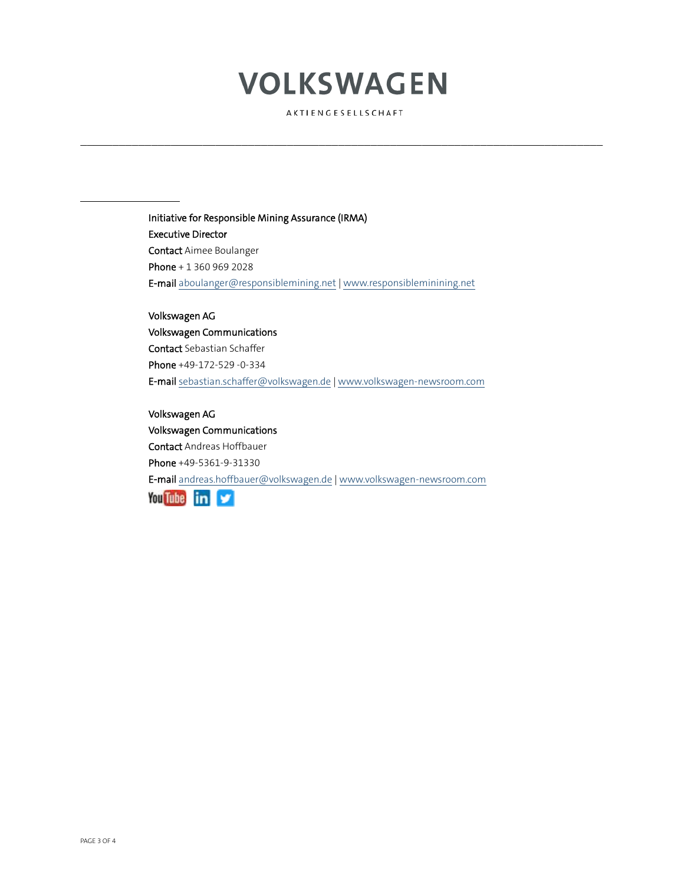AKTIENGESELLSCHAFT

 $\mathcal{L}_\mathcal{L} = \{ \mathcal{L}_\mathcal{L} = \{ \mathcal{L}_\mathcal{L} = \{ \mathcal{L}_\mathcal{L} = \{ \mathcal{L}_\mathcal{L} = \{ \mathcal{L}_\mathcal{L} = \{ \mathcal{L}_\mathcal{L} = \{ \mathcal{L}_\mathcal{L} = \{ \mathcal{L}_\mathcal{L} = \{ \mathcal{L}_\mathcal{L} = \{ \mathcal{L}_\mathcal{L} = \{ \mathcal{L}_\mathcal{L} = \{ \mathcal{L}_\mathcal{L} = \{ \mathcal{L}_\mathcal{L} = \{ \mathcal{L}_\mathcal{$ 

Initiative for Responsible Mining Assurance (IRMA) Executive Director Contact Aimee Boulanger Phone + 1 360 969 2028 E-mai[l aboulanger@responsiblemining.net](mailto:aboulanger@responsiblemining.net) | www.responsibleminining.net

Volkswagen AG Volkswagen Communications Contact Sebastian Schaffer Phone +49-172-529 -0-334 E-mai[l sebastian.schaffer@volkswagen.de](mailto:sebastian.schaffer@volkswagen.deirstname.surname@volkswagen.de) | [www.volkswagen-newsroom.com](http://www.volkswagen-newsroom.com/) 

Volkswagen AG Volkswagen Communications Contact Andreas Hoffbauer Phone +49-5361-9-31330 E-mai[l andreas.hoffbauer@volkswagen.de](mailto:andreas.hoffbauer@volkswagen.de) | [www.volkswagen-newsroom.com](http://www.volkswagen-newsroom.com/)  **You Tube in**